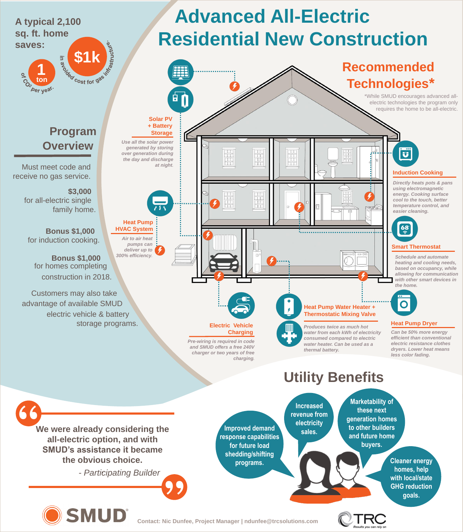**Contact: Nic Dunfee, Project Manager | ndunfee@trcsolutions.com**



**electricity** 





**generation homes** 

**We were already considering the** 

**all-electric option, and with SMUD's assistance it became the obvious choice.**

**.** *- Participating Builder* **"**